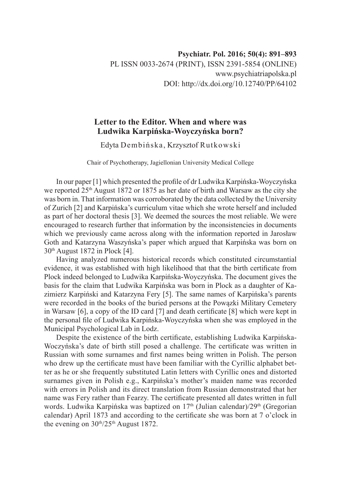## **Letter to the Editor. When and where was Ludwika Karpińska-Woyczyńska born?**

Edyta Dembińska, Krzysztof Rutkowski

Chair of Psychotherapy, Jagiellonian University Medical College

In our paper [1] which presented the profile of dr Ludwika Karpińska-Woyczyńska we reported  $25<sup>th</sup>$  August 1872 or 1875 as her date of birth and Warsaw as the city she was born in. That information was corroborated by the data collected by the University of Zurich [2] and Karpińska's curriculum vitae which she wrote herself and included as part of her doctoral thesis [3]. We deemed the sources the most reliable. We were encouraged to research further that information by the inconsistencies in documents which we previously came across along with the information reported in Jarosław Goth and Katarzyna Waszyńska's paper which argued that Karpińska was born on  $30<sup>th</sup>$  August 1872 in Plock [4].

Having analyzed numerous historical records which constituted circumstantial evidence, it was established with high likelihood that that the birth certificate from Plock indeed belonged to Ludwika Karpińska-Woyczyńska. The document gives the basis for the claim that Ludwika Karpińska was born in Plock as a daughter of Kazimierz Karpiński and Katarzyna Fery [5]. The same names of Karpińska's parents were recorded in the books of the buried persons at the Powązki Military Cemetery in Warsaw [6], a copy of the ID card [7] and death certificate [8] which were kept in the personal file of Ludwika Karpińska-Woyczyńska when she was employed in the Municipal Psychological Lab in Lodz.

Despite the existence of the birth certificate, establishing Ludwika Karpińska-Woczyńska's date of birth still posed a challenge. The certificate was written in Russian with some surnames and first names being written in Polish. The person who drew up the certificate must have been familiar with the Cyrillic alphabet better as he or she frequently substituted Latin letters with Cyrillic ones and distorted surnames given in Polish e.g., Karpińska's mother's maiden name was recorded with errors in Polish and its direct translation from Russian demonstrated that her name was Fery rather than Fearzy. The certificate presented all dates written in full words. Ludwika Karpińska was baptized on 17<sup>th</sup> (Julian calendar)/29<sup>th</sup> (Gregorian calendar) April 1873 and according to the certificate she was born at 7 o'clock in the evening on  $30<sup>th</sup>/25<sup>th</sup>$  August 1872.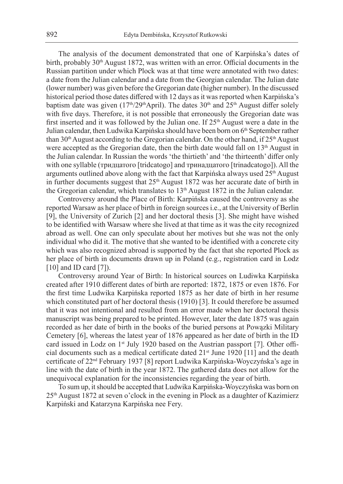The analysis of the document demonstrated that one of Karpińska's dates of birth, probably  $30<sup>th</sup>$  August 1872, was written with an error. Official documents in the Russian partition under which Plock was at that time were annotated with two dates: a date from the Julian calendar and a date from the Georgian calendar. The Julian date (lower number) was given before the Gregorian date (higher number). In the discussed historical period those dates differed with 12 days as it was reported when Karpińska's baptism date was given ( $17<sup>th</sup>/29<sup>th</sup>$ April). The dates  $30<sup>th</sup>$  and  $25<sup>th</sup>$  August differ solely with five days. Therefore, it is not possible that erroneously the Gregorian date was first inserted and it was followed by the Julian one. If  $25<sup>th</sup>$  August were a date in the Julian calendar, then Ludwika Karpińska should have been born on 6<sup>th</sup> September rather than  $30<sup>th</sup>$  August according to the Gregorian calendar. On the other hand, if  $25<sup>th</sup>$  August were accepted as the Gregorian date, then the birth date would fall on 13<sup>th</sup> August in the Julian calendar. In Russian the words 'the thirtieth' and 'the thirteenth' differ only with one syllable (тридцатого [tridcatogo] and тринадцатого [trinadcatogo]). All the arguments outlined above along with the fact that Karpińska always used 25<sup>th</sup> August in further documents suggest that  $25<sup>th</sup>$  August 1872 was her accurate date of birth in the Gregorian calendar, which translates to  $13<sup>th</sup>$  August 1872 in the Julian calendar.

Controversy around the Place of Birth: Karpińska caused the controversy as she reported Warsaw as her place of birth in foreign sources i.e., at the University of Berlin [9], the University of Zurich [2] and her doctoral thesis [3]. She might have wished to be identified with Warsaw where she lived at that time as it was the city recognized abroad as well. One can only speculate about her motives but she was not the only individual who did it. The motive that she wanted to be identified with a concrete city which was also recognized abroad is supported by the fact that she reported Plock as her place of birth in documents drawn up in Poland (e.g., registration card in Lodz [10] and ID card [7]).

Controversy around Year of Birth: In historical sources on Ludiwka Karpińska created after 1910 different dates of birth are reported: 1872, 1875 or even 1876. For the first time Ludwika Karpińska reported 1875 as her date of birth in her resume which constituted part of her doctoral thesis (1910) [3]. It could therefore be assumed that it was not intentional and resulted from an error made when her doctoral thesis manuscript was being prepared to be printed. However, later the date 1875 was again recorded as her date of birth in the books of the buried persons at Powązki Military Cemetery [6], whereas the latest year of 1876 appeared as her date of birth in the ID card issued in Lodz on  $1<sup>st</sup>$  July 1920 based on the Austrian passport [7]. Other official documents such as a medical certificate dated  $21<sup>st</sup>$  June 1920 [11] and the death certificate of 22nd February 1937 [8] report Ludwika Karpińska-Woyczyńska's age in line with the date of birth in the year 1872. The gathered data does not allow for the unequivocal explanation for the inconsistencies regarding the year of birth.

To sum up, it should be accepted that Ludwika Karpińska-Woyczyńska was born on 25th August 1872 at seven o'clock in the evening in Plock as a daughter of Kazimierz Karpiński and Katarzyna Karpińska nee Fery.